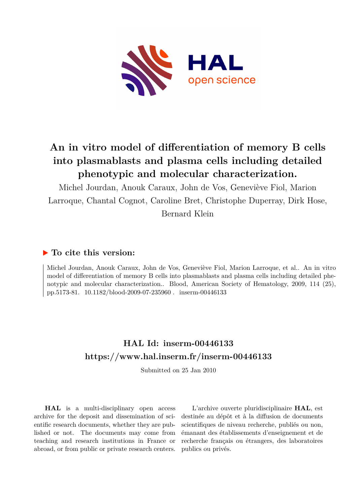

# **An in vitro model of differentiation of memory B cells into plasmablasts and plasma cells including detailed phenotypic and molecular characterization.**

Michel Jourdan, Anouk Caraux, John de Vos, Geneviève Fiol, Marion Larroque, Chantal Cognot, Caroline Bret, Christophe Duperray, Dirk Hose,

Bernard Klein

## **To cite this version:**

Michel Jourdan, Anouk Caraux, John de Vos, Geneviève Fiol, Marion Larroque, et al.. An in vitro model of differentiation of memory B cells into plasmablasts and plasma cells including detailed phenotypic and molecular characterization.. Blood, American Society of Hematology, 2009, 114 (25), pp.5173-81. 10.1182/blood-2009-07-235960. inserm-00446133

## **HAL Id: inserm-00446133 <https://www.hal.inserm.fr/inserm-00446133>**

Submitted on 25 Jan 2010

**HAL** is a multi-disciplinary open access archive for the deposit and dissemination of scientific research documents, whether they are published or not. The documents may come from teaching and research institutions in France or abroad, or from public or private research centers.

L'archive ouverte pluridisciplinaire **HAL**, est destinée au dépôt et à la diffusion de documents scientifiques de niveau recherche, publiés ou non, émanant des établissements d'enseignement et de recherche français ou étrangers, des laboratoires publics ou privés.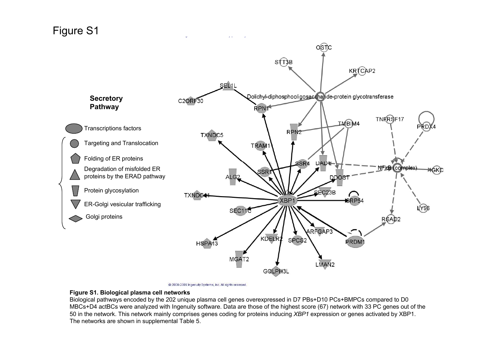## Figure S1



<sup>@ 2000-2009</sup> Ingenuity Systems, Inc. All rights reserved.

#### **Figure S1. Biological plasma cell networks**

Biological pathways encoded by the 202 unique plasma cell genes overexpressed in D7 PBs+D10 PCs+BMPCs compared to D0 MBCs+D4 actBCs were analyzed with Ingenuity software. Data are those of the highest score (67) network with 33 PC genes out of the 50 in the network. This network mainly comprises genes coding for proteins inducing *XBP1* expression or genes activated by XBP1. The networks are shown in supplemental Table 5.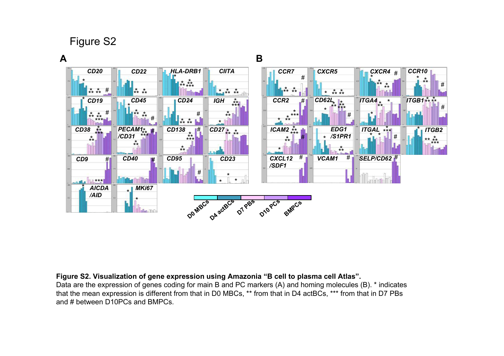Figure S2

#### **A B** # *VCAM1* # *SELP/CD62* # *ITGAL* \* \*\*\*  $\mathbf{L}$  if # *CCR2* \* \* \*\*\* # \* \*\* *CCR7* # \*\*<br>\*\* \*\* *CCR10* \* # \* \*\* *CXCR4* # \* \* \*\* \* \*\* *CXCR5* \* \*<br>\*\* \*\*<br>. *CD62L* \* \*\* \*<br>\*\* \*\*<br>-- \*\*\* \*\* *CXCL12 /SDF1* # *ITGA4* \* \* \* \*\* *ITGB1* # \* *ITGB2* \*\*<br>\*\* \*\*<br>Lii<sup>\*\*\*</sup> \*\*\* *EDG1 /S1PR1* \* \* \*\* *ICAM2* # \* \* \*\* \*\*\* # *AICDA /AID* \* *CD38*  $\frac{1}{2}$  **PECAM1**<sub> $\frac{1}{2}$  **PECAM1**<sub> $\frac{1}{2}$  **P CD138**  $\frac{1}{2}$ </sub></sub> *CD45* \* # *MKi67* \* \* *CD19* # \* *CD27* \* \*\* \* \*\* \* \* \* \* # *CD20 CD22 CD23* \* \* \* *CD24* # */CD31* # *IGH* \* *CIITA* \* *CD9* \*\*\* # *CD40* # *CD95* # \* \*\* \* \*\* \* \*\* \*  $\sim$   $\pi$ \*\* \* \*\*\* \* \*\* \* \*\* \* \*\* \* CD138 \* \*\* \* \*\* \*<br>\*\*\* \*\*\* \*\* \*  $\mathbf{r}^{\ast}$ \*\* \*\* \*\*\* \* \*\* \*\* \* \*\*\* \* \*\* *HLA-DRB1* \*\* \* \*\*\* \* \*\* \* **DQ**  $\frac{1}{2}R_{\text{max}}^{\text{max}}$   $\frac{1}{2}R_{\text{max}}^{\text{max}}$   $\frac{1}{2}R_{\text{max}}^{\text{max}}$

#### **Figure S2. Visualization of gene expression using Amazonia "B cell to plasma cell Atlas".**

Data are the expression of genes coding for main B and PC markers (A) and homing molecules (B). \* indicates that the mean expression is different from that in D0 MBCs, \*\* from that in D4 actBCs, \*\*\* from that in D7 PBs and # between D10PCs and BMPCs.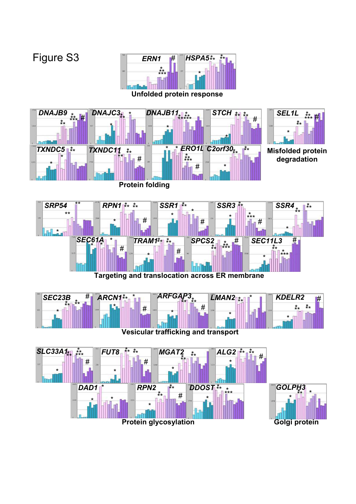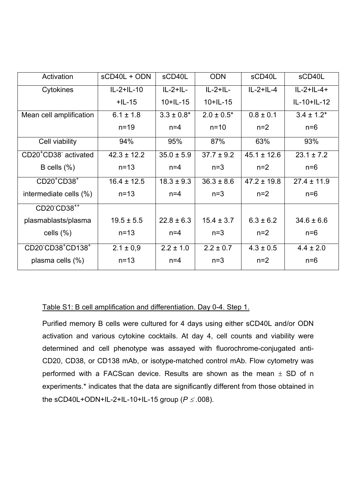| Activation                                    | sCD40L + ODN    | sCD40L          | <b>ODN</b>      | sCD40L          | sCD40L              |
|-----------------------------------------------|-----------------|-----------------|-----------------|-----------------|---------------------|
| Cytokines                                     | $IL-2+IL-10$    | $IL-2+IL-$      | $IL-2+IL-$      | $IL-2+IL-4$     | $IL - 2 + IL - 4 +$ |
|                                               | $+$ IL-15       | $10+IL-15$      | $10 + 11 - 15$  |                 | IL-10+IL-12         |
| Mean cell amplification                       | $6.1 \pm 1.8$   | $3.3 \pm 0.8^*$ | $2.0 \pm 0.5^*$ | $0.8 \pm 0.1$   | $3.4 \pm 1.2^*$     |
|                                               | $n=19$          | $n=4$           | $n = 10$        | $n=2$           | $n=6$               |
| Cell viability                                | 94%             | 95%             | 87%             | 63%             | 93%                 |
| CD20 <sup>+</sup> CD38 <sup>-</sup> activated | $42.3 \pm 12.2$ | $35.0 \pm 5.9$  | $37.7 \pm 9.2$  | $45.1 \pm 12.6$ | $23.1 \pm 7.2$      |
| B cells $(\% )$                               | $n=13$          | $n=4$           | $n=3$           | $n=2$           | $n=6$               |
| $CD20^+CD38^+$                                | $16.4 \pm 12.5$ | $18.3 \pm 9.3$  | $36.3 \pm 8.6$  | $47.2 \pm 19.8$ | $27.4 \pm 11.9$     |
| intermediate cells (%)                        | $n=13$          | $n=4$           | $n=3$           | $n=2$           | $n=6$               |
| CD20 CD38 <sup>++</sup>                       |                 |                 |                 |                 |                     |
| plasmablasts/plasma                           | $19.5 \pm 5.5$  | $22.8 \pm 6.3$  | $15.4 \pm 3.7$  | $6.3 \pm 6.2$   | $34.6 \pm 6.6$      |
| cells $(\% )$                                 | $n=13$          | $n=4$           | $n=3$           | $n=2$           | $n=6$               |
| CD20 CD38 <sup>+</sup> CD138 <sup>+</sup>     | $2.1 \pm 0.9$   | $2.2 \pm 1.0$   | $2.2 \pm 0.7$   | $4.3 \pm 0.5$   | $4.4 \pm 2.0$       |
| plasma cells $(\% )$                          | $n = 13$        | $n=4$           | $n=3$           | $n=2$           | $n=6$               |

#### Table S1: B cell amplification and differentiation. Day 0-4. Step 1.

Purified memory B cells were cultured for 4 days using either sCD40L and/or ODN activation and various cytokine cocktails. At day 4, cell counts and viability were determined and cell phenotype was assayed with fluorochrome-conjugated anti-CD20, CD38, or CD138 mAb, or isotype-matched control mAb. Flow cytometry was performed with a FACScan device. Results are shown as the mean  $\pm$  SD of n experiments.\* indicates that the data are significantly different from those obtained in the sCD40L+ODN+IL-2+IL-10+IL-15 group (*P* ≤ *.*008).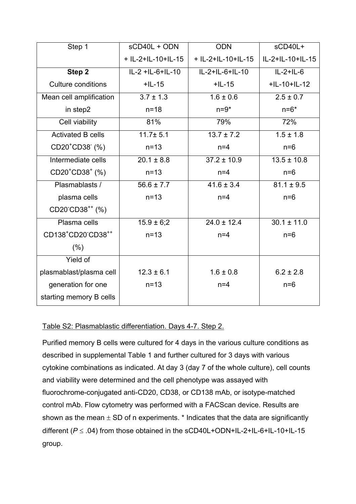| Step 1                                                  | sCD40L + ODN       | <b>ODN</b>         | sCD40L+          |
|---------------------------------------------------------|--------------------|--------------------|------------------|
|                                                         | + IL-2+IL-10+IL-15 | + IL-2+IL-10+IL-15 | IL-2+IL-10+IL-15 |
| Step 2                                                  | IL-2 +IL-6+IL-10   | IL-2+IL-6+IL-10    | $IL-2+IL-6$      |
| Culture conditions                                      | $+$ IL-15          | $+$ IL-15          | $+$ IL-10+IL-12  |
| Mean cell amplification                                 | $3.7 \pm 1.3$      | $1.6 \pm 0.6$      | $2.5 \pm 0.7$    |
| in step2                                                | $n = 18$           | $n=9*$             | $n=6*$           |
| Cell viability                                          | 81%                | 79%                | 72%              |
| <b>Activated B cells</b>                                | $11.7 + 5.1$       | $13.7 \pm 7.2$     | $1.5 \pm 1.8$    |
| CD20 <sup>+</sup> CD38 <sup>-</sup> (%)                 | $n=13$             | $n=4$              | $n=6$            |
| Intermediate cells                                      | $20.1 \pm 8.8$     | $37.2 \pm 10.9$    | $13.5 \pm 10.8$  |
| CD20 <sup>+</sup> CD38 <sup>+</sup> (%)                 | $n=13$             | $n=4$              | $n=6$            |
| Plasmablasts /                                          | $56.6 \pm 7.7$     | $41.6 \pm 3.4$     | $81.1 \pm 9.5$   |
| plasma cells                                            | $n=13$             | $n=4$              | $n=6$            |
| CD20 CD38 <sup>++</sup> (%)                             |                    |                    |                  |
| Plasma cells                                            | $15.9 \pm 6;2$     | $24.0 \pm 12.4$    | $30.1 \pm 11.0$  |
| CD138 <sup>+</sup> CD20 <sup>-</sup> CD38 <sup>++</sup> | $n = 13$           | $n=4$              | $n=6$            |
| $(\% )$                                                 |                    |                    |                  |
| Yield of                                                |                    |                    |                  |
| plasmablast/plasma cell                                 | $12.3 \pm 6.1$     | $1.6 \pm 0.8$      | $6.2 \pm 2.8$    |
| generation for one                                      | $n=13$             | $n=4$              | $n=6$            |
| starting memory B cells                                 |                    |                    |                  |

### Table S2: Plasmablastic differentiation. Days 4-7. Step 2.

Purified memory B cells were cultured for 4 days in the various culture conditions as described in supplemental Table 1 and further cultured for 3 days with various cytokine combinations as indicated. At day 3 (day 7 of the whole culture), cell counts and viability were determined and the cell phenotype was assayed with fluorochrome-conjugated anti-CD20, CD38, or CD138 mAb, or isotype-matched control mAb. Flow cytometry was performed with a FACScan device. Results are shown as the mean  $\pm$  SD of n experiments.  $*$  Indicates that the data are significantly different (*P* ≤ .04) from those obtained in the sCD40L+ODN+IL-2+IL-6+IL-10+IL-15 group.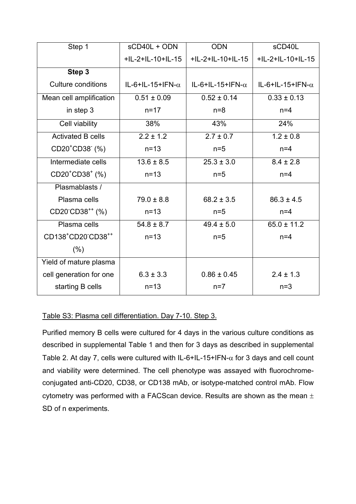| Step 1                                                  | sCD40L + ODN             | <b>ODN</b>               | sCD40L                   |
|---------------------------------------------------------|--------------------------|--------------------------|--------------------------|
|                                                         | +IL-2+IL-10+IL-15        | +IL-2+IL-10+IL-15        | +IL-2+IL-10+IL-15        |
| Step 3                                                  |                          |                          |                          |
| <b>Culture conditions</b>                               | IL-6+IL-15+IFN- $\alpha$ | IL-6+IL-15+IFN- $\alpha$ | IL-6+IL-15+IFN- $\alpha$ |
| Mean cell amplification                                 | $0.51 \pm 0.09$          | $0.52 \pm 0.14$          | $0.33 \pm 0.13$          |
| in step 3                                               | $n = 17$                 | $n=8$                    | $n=4$                    |
| Cell viability                                          | 38%                      | 43%                      | 24%                      |
| <b>Activated B cells</b>                                | $2.2 \pm 1.2$            | $2.7 \pm 0.7$            | $1.2 \pm 0.8$            |
| CD20 <sup>+</sup> CD38 <sup>-</sup> (%)                 | $n=13$                   | $n=5$                    | $n=4$                    |
| Intermediate cells                                      | $13.6 \pm 8.5$           | $25.3 \pm 3.0$           | $8.4 \pm 2.8$            |
| CD20 <sup>+</sup> CD38 <sup>+</sup> (%)                 | $n=13$                   | $n=5$                    | $n=4$                    |
| Plasmablasts /                                          |                          |                          |                          |
| Plasma cells                                            | $79.0 \pm 8.8$           | $68.2 \pm 3.5$           | $86.3 \pm 4.5$           |
| CD20 <sup>-</sup> CD38 <sup>++</sup> (%)                | $n=13$                   | $n=5$                    | $n=4$                    |
| Plasma cells                                            | $54.8 \pm 8.7$           | $49.4 \pm 5.0$           | $65.0 \pm 11.2$          |
| CD138 <sup>+</sup> CD20 <sup>-</sup> CD38 <sup>++</sup> | $n=13$                   | $n=5$                    | $n=4$                    |
| $(\% )$                                                 |                          |                          |                          |
| Yield of mature plasma                                  |                          |                          |                          |
| cell generation for one                                 | $6.3 \pm 3.3$            | $0.86 \pm 0.45$          | $2.4 \pm 1.3$            |
| starting B cells                                        | $n = 13$                 | $n=7$                    | $n=3$                    |

#### Table S3: Plasma cell differentiation. Day 7-10. Step 3.

Purified memory B cells were cultured for 4 days in the various culture conditions as described in supplemental Table 1 and then for 3 days as described in supplemental Table 2. At day 7, cells were cultured with IL-6+IL-15+IFN- $\alpha$  for 3 days and cell count and viability were determined. The cell phenotype was assayed with fluorochromeconjugated anti-CD20, CD38, or CD138 mAb, or isotype-matched control mAb. Flow cytometry was performed with a FACScan device. Results are shown as the mean  $\pm$ SD of n experiments.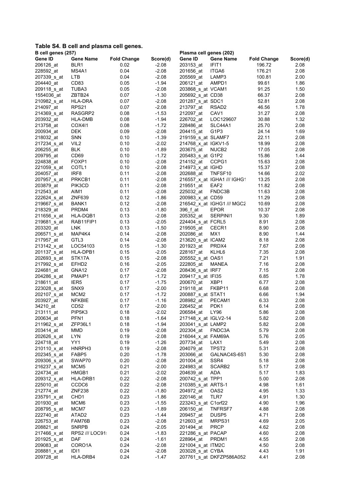#### **Table S4. B cell and plasma cell genes.**

|             | B cell genes (257)<br>Plasma cell genes (202) |                    |          |                      |                             |                    |          |
|-------------|-----------------------------------------------|--------------------|----------|----------------------|-----------------------------|--------------------|----------|
| Gene ID     | <b>Gene Name</b>                              | <b>Fold Change</b> | Score(d) | Gene ID              | <b>Gene Name</b>            | <b>Fold Change</b> | Score(d) |
| 206126 at   | BLR <sub>1</sub>                              | 0.02               | $-2.08$  | 203153 at            | IFIT <sub>1</sub>           | 196.72             | 2.08     |
| 228592 at   | MS4A1                                         | 0.04               | $-2.08$  | 201656_at            | ITGA6                       | 176.21             | 2.08     |
| 207339_s_at | <b>LTB</b>                                    | 0.04               | $-2.08$  | 205569_at            | LAMP3                       | 100.81             | 2.00     |
| 204440 at   | CD <sub>83</sub>                              | 0.05               | $-1.94$  | 206121 at            | AMPD1                       | 99.61              | 1.86     |
| 209118_s_at | TUBA3                                         | 0.05               | $-2.08$  | 203868_s_at VCAM1    |                             | 91.25              | 1.50     |
| 1554036_at  | ZBTB24                                        | 0.07               | $-1.30$  | 205692_s_at CD38     |                             | 66.37              | 2.08     |
| 210982_s_at | <b>HLA-DRA</b>                                | 0.07               | $-2.08$  | 201287_s_at SDC1     |                             | 52.81              | 2.08     |
| 214097_at   | RPS21                                         | 0.07               | $-2.08$  | 213797_at            | RSAD <sub>2</sub>           | 46.56              | 1.78     |
| 214369 s at | RASGRP2                                       | 0.08               | $-1.53$  | 212097_at            | CAV1                        | 31.27              | 2.08     |
| 203932_at   | HLA-DMB                                       | 0.08               | $-1.94$  | 226702 at            | LOC129607                   | 30.88              | 1.32     |
| 213758_at   | <b>COX411</b>                                 | 0.08               | $-1.72$  | 228486_at            | SLC44A1                     | 25.70              | 2.08     |
| 200934_at   | <b>DEK</b>                                    | 0.09               | $-2.08$  | 204415 at            | G1P3                        | 24.14              | 1.69     |
| 218032_at   | <b>SNN</b>                                    | 0.10               | $-1.39$  | 219159 s at SLAMF7   |                             | 22.11              | 2.08     |
| 217234 s at | VIL <sub>2</sub>                              | 0.10               | $-2.02$  | 214768 x at IGKV1-5  |                             | 18.99              | 2.08     |
| 206255 at   | <b>BLK</b>                                    | 0.10               | $-1.89$  | 203675 at            | NUCB <sub>2</sub>           | 17.05              | 2.08     |
| 209795_at   | CD69                                          | 0.10               | $-1.72$  | 205483_s_at G1P2     |                             | 15.86              | 1.44     |
| 224838_at   | FOXP1                                         | 0.10               | $-2.08$  | 214152_at            | CCPG1                       | 15.63              | 2.08     |
| 221059_s_at | COTL <sub>1</sub>                             | 0.10               | $-2.08$  | 214973 x at IGHD     |                             | 15.37              | 2.08     |
| 204057_at   | IRF <sub>8</sub>                              | 0.11               | $-2.08$  | 202688_at            | TNFSF10                     | 14.66              | 2.02     |
| 207957 s at | PRKCB1                                        | 0.11               | $-2.08$  |                      | 216557_x_at IGHA1 /// IGHG1 | 13.25              | 2.08     |
| 203879_at   | PIK3CD                                        | 0.11               | $-2.08$  | 219551 at            | EAF <sub>2</sub>            | 11.82              | 2.08     |
| 212543_at   | AIM1                                          | 0.11               | $-2.08$  | 225032 at            | FNDC3B                      | 11.63              | 2.08     |
| 222624_s_at | ZNF639                                        | 0.12               | $-1.86$  | 200983_x_at CD59     |                             | 11.29              | 2.08     |
| 219667 s at | BANK1                                         | 0.12               | $-2.08$  |                      | 216542 x at IGHG1 /// MGC2  | 10.69              | 2.08     |
| 218329_at   | PRDM4                                         | 0.13               | $-1.80$  | 396 f_at             | <b>EPOR</b>                 | 10.37              | 2.08     |
| 211656 x at | HLA-DQB1                                      | 0.13               | $-2.08$  | 205352 at            | SERPINI1                    | 9.30               | 1.89     |
| 219681 s at | RAB11FIP1                                     | 0.13               | $-2.05$  | 224404_s_at FCRL5    |                             | 8.91               | 2.08     |
| 203320_at   | LNK                                           | 0.13               | $-1.50$  | 219505_at            | CECR1                       | 8.90               | 2.08     |
| 206571 s at | MAP4K4                                        | 0.14               | $-2.08$  | 202086 at            | MX1                         | 8.90               | 1.44     |
| 217957_at   | GTL3                                          | 0.14               | $-2.08$  | 213620_s_at ICAM2    |                             | 8.18               | 2.08     |
| 213142_x_at | LOC54103                                      | 0.15               | $-1.30$  | 201923_at            | PRDX4                       | 7.67               | 2.08     |
| 201137 s at | HLA-DPB1                                      | 0.15               | $-2.05$  | 228167 at            | KLHL6                       | 7.35               | 2.08     |
| 202693 s at | STK17A                                        | 0.15               | $-2.08$  | 205552_s_at OAS1     |                             | 7.21               | 1.91     |
| 217992 s at | EFHD <sub>2</sub>                             | 0.16               | $-2.05$  | 222805_at            | MANEA                       | 7.16               | 2.08     |
| 224681_at   | GNA12                                         | 0.17               | $-2.08$  | 208436_s_at IRF7     |                             | 7.15               | 2.08     |
| 204286_s_at | PMAIP1                                        | 0.17               | $-1.72$  | 209417 s_at IFI35    |                             | 6.85               | 1.78     |
| 218611_at   | IER <sub>5</sub>                              | 0.17               | $-1.75$  | 200670_at            | XBP1                        | 6.77               | 2.08     |
| 223028_s_at | SNX9                                          | 0.17               | $-2.00$  | 219118_at            | FKBP11                      | 6.68               | 2.08     |
| 202107 s at | MCM <sub>2</sub>                              | 0.17               | $-1.72$  | 200887_s_at STAT1    |                             | 6.66               | 1.94     |
| 203927_at   | <b>NFKBIE</b>                                 | 0.17               | $-1.16$  | 208982_at            | PECAM1                      | 6.33               | 2.08     |
| 34210_at    | CD <sub>52</sub>                              | 0.17               | $-2.00$  | 226452_at            | PDK1                        | 6.14               | 2.08     |
| 213111_at   | PIP5K3                                        | 0.18               | $-2.02$  | 206584_at            | LY96                        | 5.86               | 2.08     |
| 200634_at   | PFN <sub>1</sub>                              | 0.18               | $-1.64$  | 217148_x_at IGLV2-14 |                             | 5.82               | 2.08     |
| 211962_s_at | ZFP36L1                                       | 0.18               | $-1.94$  | 203041_s_at LAMP2    |                             | 5.82               | 2.08     |
| 203414_at   | <b>MMD</b>                                    | 0.19               | $-2.08$  | 202304_at            | FNDC3A                      | 5.79               | 2.08     |
| 202626_s_at | LYN                                           | 0.19               | $-2.08$  | 216044 x at FAM69A   |                             | 5.76               | 2.05     |
| 224718_at   | YY1                                           | 0.19               | $-1.26$  | 207734_at            | LAX1                        | 5.49               | 2.08     |
| 210110 x at | HNRPH3                                        | 0.19               | $-2.08$  | 204079_at            | TPST <sub>2</sub>           | 5.31               | 2.08     |
| 202345 s at | FABP5                                         | 0.20               | $-1.78$  | 203066 at            | GALNAC4S-6S1                | 5.30               | 2.08     |
| 209306_s_at | SWAP70                                        | 0.20               | $-2.08$  | 201004_at            | SSR4                        | 5.18               | 2.08     |
| 216237_s_at | MCM <sub>5</sub>                              | 0.21               | $-2.00$  | 224983_at            | SCARB2                      | 5.17               | 2.08     |
| 224734_at   | HMGB1                                         | 0.21               | $-2.02$  | 204639_at            | ADA                         | 5.17               | 1.83     |
| 209312 x at | HLA-DRB1                                      | 0.22               | $-2.08$  | 200742_s_at_TPP1     |                             | 5.00               | 2.08     |
| 225010 at   | CCDC6                                         | 0.22               | $-2.08$  | 210385 s at ARTS-1   |                             | 4.98               | 1.61     |
| 212774 at   | <b>ZNF238</b>                                 | 0.22               | $-1.80$  | 204972_at            | OAS <sub>2</sub>            | 4.95               | 1.33     |
| 235791 x at | CHD1                                          | 0.23               | -1.86    | 220146_at            | TLR7                        | 4.91               | 1.30     |
| 201930_at   | MCM6                                          | 0.23               | $-1.55$  | 223243 s_at C1orf22  |                             | 4.90               | 1.96     |
| 208795_s_at | MCM7                                          | 0.23               | $-1.89$  | 206150_at            | TNFRSF7                     | 4.88               | 2.08     |
| 222740_at   | ATAD <sub>2</sub>                             | 0.23               | $-1.44$  | 209457_at            | DUSP <sub>5</sub>           | 4.71               | 2.08     |
| 226753 at   | FAM76B                                        | 0.23               | $-2.08$  | 212603 at            | MRPS31                      | 4.69               | 2.05     |
| 208821_at   | <b>SNRPB</b>                                  | 0.24               | $-2.05$  | 201494_at            | <b>PRCP</b>                 | 4.62               | 2.08     |
| 217466_x_at | RPS2 /// LOC91                                | 0.24               | $-1.83$  | 221286 s at PACAP    |                             | 4.60               | 2.08     |
| 201925 s at | <b>DAF</b>                                    | 0.24               | $-1.61$  | 228964 at            | PRDM1                       | 4.55               | 2.08     |
| 209083_at   | CORO1A                                        | 0.24               | $-2.08$  | 221004_s_at_ITM2C    |                             | 4.50               | 2.08     |
| 208881_x_at | IDI1                                          | 0.24               | $-2.08$  | 203028_s_at CYBA     |                             | 4.43               | 1.91     |
| 209728_at   | HLA-DRB4                                      | 0.24               | $-1.47$  |                      | 207761_s_at DKFZP586A052    | 4.41               | 2.08     |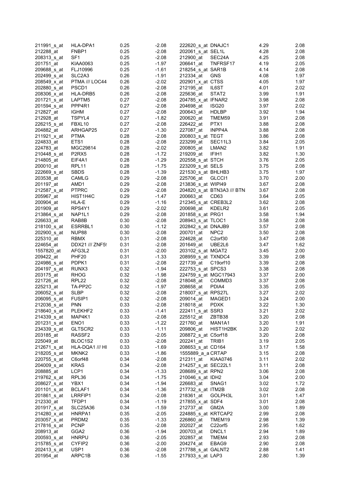| 211991 s_at             | HLA-DPA1                        | 0.25 | $-2.08$ | 222620_s_at DNAJC1   |                            | 4.29 | 2.08 |
|-------------------------|---------------------------------|------|---------|----------------------|----------------------------|------|------|
| 212288_at               | FNBP1                           | 0.25 | $-2.08$ | 202061_s_at SEL1L    |                            | 4.28 | 2.08 |
| 208313 s at             | SF <sub>1</sub>                 | 0.25 | $-2.08$ | 212900_at            | SEC24A                     | 4.25 | 2.08 |
| 201751_at               | KIAA0063                        | 0.25 | $-1.97$ | 206641 at            | TNFRSF17                   | 4.19 | 2.05 |
| 209688_s_at             | FLJ10996                        | 0.25 | $-1.61$ | 218254_s_at SAR1B    |                            | 4.14 | 2.08 |
| 202499 s at             | SLC <sub>2</sub> A <sub>3</sub> | 0.26 | $-1.91$ | 212334 at            | <b>GNS</b>                 | 4.08 | 1.97 |
| 208549 x at             | PTMA /// LOC44                  | 0.26 | $-2.02$ | 202901_x_at CTSS     |                            | 4.05 | 1.97 |
| 202880 s at             | PSCD1                           | 0.26 | $-2.08$ | 212195_at            | IL6ST                      | 4.01 | 2.02 |
| 208306_x_at             | HLA-DRB5                        | 0.26 | $-2.08$ | 225636 at            | STAT2                      | 3.99 | 1.91 |
| 201721_s_at             | LAPTM5                          | 0.27 | $-2.08$ | 204785 x at IFNAR2   |                            | 3.98 | 2.08 |
| 201594 s_at             | PPP4R1                          | 0.27 | $-2.08$ | 204698_at            | ISG <sub>20</sub>          | 3.97 | 2.02 |
| 212827_at               | <b>IGHM</b>                     | 0.27 | $-2.08$ | 200643 at            | <b>HDLBP</b>               | 3.92 | 1.94 |
|                         |                                 |      |         |                      | TMEM59                     |      |      |
| 212928_at               | TSPYL4                          | 0.27 | $-1.82$ | 200620_at            |                            | 3.91 | 2.08 |
| 226215_s_at             | FBXL10                          | 0.27 | $-2.08$ | 226422_at            | PTX1                       | 3.88 | 2.08 |
| 204882 at               | ARHGAP25                        | 0.27 | $-1.30$ | 227087_at            | INPP4A                     | 3.88 | 2.08 |
| 211921 x at             | <b>PTMA</b>                     | 0.28 | $-2.08$ | 200803_s_at TEGT     |                            | 3.86 | 2.08 |
| 224833 at               | ETS1                            | 0.28 | $-2.08$ | 223299 at            | SEC11L3                    | 3.84 | 2.05 |
| 224783_at               | MGC29814                        | 0.28 | $-2.02$ | 200805_at            | LMAN <sub>2</sub>          | 3.82 | 1.91 |
| 210448 s at             | P <sub>2</sub> R <sub>X5</sub>  | 0.28 | $-1.72$ | 219209_at            | IFIH1                      | 3.82 | 1.30 |
| 214805 at               | EIF4A1                          | 0.28 | $-1.29$ | 202558_s_at STCH     |                            | 3.76 | 2.05 |
| 200010_at               | RPL <sub>11</sub>               | 0.28 | $-1.75$ | 223209_s_at_SELS     |                            | 3.75 | 2.08 |
| 222669 s at             | <b>SBDS</b>                     | 0.28 | $-1.39$ | 221530 s_at BHLHB3   |                            | 3.75 | 1.97 |
| 203538 at               | CAMLG                           | 0.29 | $-2.08$ | 225706 at            | GLCCI1                     | 3.70 | 2.00 |
| 201197_at               | AMD1                            | 0.29 | $-2.08$ | 213836_s_at WIPI49   |                            | 3.67 | 2.08 |
| 212587 s at             | <b>PTPRC</b>                    | 0.29 | $-2.08$ |                      | 204820_s_at BTN3A3 /// BTN | 3.67 | 2.08 |
| 205967_at               | HIST1H4C                        | 0.29 | $-1.47$ | 200663 at            | CD63                       | 3.64 | 2.05 |
| 200904 at               | HLA-E                           | 0.29 | $-1.16$ | 212345_s_at CREB3L2  |                            | 3.62 | 2.08 |
| 201909_at               | RPS4Y1                          | 0.29 | $-2.02$ | 200698 at            | KDELR2                     | 3.61 | 2.05 |
| 213864 s at             | NAP1L1                          | 0.29 | $-2.08$ | 201858_s_at PRG1     |                            | 3.58 | 1.94 |
| 226633_at               | RAB8B                           | 0.30 | $-2.08$ | 208943 s_at TLOC1    |                            | 3.58 | 2.08 |
| 218100_s_at             | ESRRBL1                         | 0.30 | $-1.12$ | 202842_s_at_DNAJB9   |                            | 3.57 | 2.08 |
| 202900 s at             | NUP88                           | 0.30 | $-2.08$ | 200701 at            | NPC <sub>2</sub>           | 3.50 | 2.08 |
| 225310_at               | <b>RBMX</b>                     | 0.31 | $-2.08$ | 224628_at            | C <sub>2</sub> orf30       | 3.47 | 2.08 |
|                         |                                 |      |         |                      |                            |      |      |
| 224654 at               | DDX21 /// ZNF5!                 | 0.31 | $-2.08$ | 201649 at            | UBE2L6                     | 3.47 | 1.62 |
| 1557820 at              | AFG3L2                          | 0.31 | $-2.00$ | 203102_s_at MGAT2    |                            | 3.45 | 2.00 |
| 209422_at               | PHF <sub>20</sub>               | 0.31 | $-1.33$ | 208959_s_at TXNDC4   |                            | 3.39 | 2.08 |
| 224986_s_at             | PDPK1                           | 0.31 | $-2.08$ | 221739 at            | C19orf10                   | 3.39 | 2.08 |
| 204197 s at             | RUNX3                           | 0.32 | $-1.94$ | 222753_s_at SPCS3    |                            | 3.38 | 2.08 |
| 203175_at               | <b>RHOG</b>                     | 0.32 | $-1.98$ | 224759_s_at MGC17943 |                            | 3.37 | 2.00 |
| 221726_at               | RPL22                           | 0.32 | $-2.08$ | 218048_at            | COMMD <sub>3</sub>         | 3.37 | 2.08 |
| 225213_at               | TA-PP2C                         | 0.32 | $-1.97$ | 208658_at            | PDIA4                      | 3.35 | 2.05 |
| 206052_s_at             | <b>SLBP</b>                     | 0.32 | $-2.08$ | 218007_s_at RPS27L   |                            | 3.27 | 2.02 |
| 206095_s_at             | <b>FUSIP1</b>                   | 0.32 | $-2.08$ | 209014_at            | MAGED1                     | 3.24 | 2.00 |
| 212036_s_at             | <b>PNN</b>                      | 0.33 | $-2.08$ | 218018_at            | <b>PDXK</b>                | 3.22 | 1.30 |
| 218640_s_at             | PLEKHF2                         | 0.33 | $-1.41$ | 222411_s_at SSR3     |                            | 3.21 | 2.02 |
| 214339 <sub>_S_at</sub> | MAP4K1                          | 0.33 | $-2.08$ | 225512_at            | ZBTB38                     | 3.20 | 2.08 |
| 201231_s_at             | ENO <sub>1</sub>                | 0.33 | $-1.22$ | 221760_at            | MAN1A1                     | 3.20 | 1.91 |
| 234339_s_at             | GLTSCR2                         | 0.33 | $-1.11$ | 209806 at            | HIST1H2BK                  | 3.20 | 2.02 |
| 203185_at               | RASSF2                          | 0.33 | $-2.05$ | 208872_s_at C5orf18  |                            | 3.20 | 2.08 |
| 225049_at               | BLOC1S2                         | 0.33 | $-2.08$ | 202241_at            | TRIB1                      | 3.19 | 2.05 |
| 212671 s at             | HLA-DQA1 /// HI                 | 0.33 | $-1.69$ | 208653_s_at CD164    |                            | 3.17 | 1.58 |
| 218205 s at             | MKNK <sub>2</sub>               | 0.33 | $-1.86$ | 1555889_a_a CRTAP    |                            | 3.15 | 2.08 |
| 220755 s at             | C6orf48                         | 0.34 | $-2.08$ | 212311 at            | KIAA0746                   | 3.11 | 2.02 |
| 204009_s_at             | <b>KRAS</b>                     | 0.34 | $-2.08$ | 214257_s_at SEC22L1  |                            | 3.11 | 2.08 |
| 208885_at               | LCP1                            | 0.34 | $-1.33$ | 208689_s_at RPN2     |                            | 3.06 | 2.08 |
| 219762_s_at             | RPL36                           | 0.34 | $-1.75$ | 210046 s_at IDH2     |                            | 3.04 | 2.00 |
| 208627 s at             | YBX1                            | 0.34 | $-1.94$ | 226683_at            | SNAG1                      | 3.02 | 1.72 |
|                         |                                 | 0.34 | $-1.36$ |                      |                            | 3.02 |      |
| 201101_s_at             | BCLAF1                          |      |         | 217732_s_at ITM2B    |                            |      | 2.08 |
| 201861 s at             | LRRFIP1                         | 0.34 | $-2.08$ | 218361 at            | GOLPH3L                    | 3.01 | 1.47 |
| 212330_at               | TFDP1                           | 0.34 | $-1.19$ | 217855_x_at SDF4     |                            | 3.01 | 2.08 |
| 201917_s_at             | <b>SLC25A36</b>                 | 0.34 | $-1.59$ | 212737_at            | GM2A                       | 3.00 | 1.89 |
| 214280 x at             | HNRPA1                          | 0.35 | $-2.05$ | 224885 s at KRTCAP2  |                            | 2.99 | 2.08 |
| 203057_s_at             | PRDM <sub>2</sub>               | 0.35 | $-1.33$ | 226860 at            | TMEM19                     | 2.98 | 1.39 |
| 217816_s_at             | <b>PCNP</b>                     | 0.35 | $-2.08$ | 202027 at            | C22orf5                    | 2.95 | 1.62 |
| 208913_at               | GGA2                            | 0.36 | $-1.94$ | 200703_at            | DNCL <sub>1</sub>          | 2.94 | 1.89 |
| 200593_s_at             | <b>HNRPU</b>                    | 0.36 | $-2.05$ | 202857_at            | TMEM4                      | 2.93 | 2.08 |
| 215785 s at             | CYFIP2                          | 0.36 | $-2.00$ | 204274 at            | EBAG9                      | 2.90 | 2.08 |
| 202413_s_at             | USP1                            | 0.36 | $-2.08$ | 217788 s at GALNT2   |                            | 2.88 | 1.41 |
| 201954_at               | ARPC1B                          | 0.36 | $-1.55$ | 217933 s at LAP3     |                            | 2.80 | 1.39 |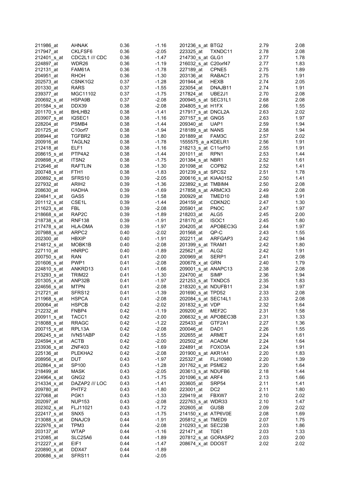| 211986_at                  | <b>AHNAK</b>       | 0.36 | $-1.16$            | 201236_s_at BTG2       |                    | 2.79 | 2.08         |
|----------------------------|--------------------|------|--------------------|------------------------|--------------------|------|--------------|
| 217947 at                  | CKLFSF6            | 0.36 | $-2.05$            | 223325 at              | TXNDC11            | 2.78 | 2.08         |
| 212401_s_at                | CDC2L1 /// CDC     | 0.36 | $-1.47$            | 214730_s_at GLG1       |                    | 2.77 | 1.78         |
| 224897 at                  | WDR26              | 0.36 | $-1.19$            | 216032_s_at C20orf47   |                    | 2.77 | 1.83         |
| 212131_at                  | FAM61A             | 0.36 | $-1.78$            | 227189_at              | CPNE5              | 2.75 | 1.89         |
| 204951_at                  | <b>RHOH</b>        | 0.36 | $-1.30$            | 203136_at              | RABAC1             | 2.75 | 1.91         |
| 202573 at                  | CSNK1G2            | 0.37 | $-1.28$            | 201944 at              | <b>HEXB</b>        | 2.74 | 2.05         |
| 201330_at                  | <b>RARS</b>        | 0.37 | $-1.55$            | 223054_at              | DNAJB11            | 2.74 | 1.91         |
| 239377_at                  | MGC11102           | 0.37 | $-1.75$            | 217824_at              | UBE2J1             | 2.70 | 2.08         |
| 200692 s at                | HSPA9B             | 0.37 | $-2.08$            | 200945 s at SEC31L1    |                    | 2.68 | 2.08         |
| 201584 s at                | DDX39              | 0.38 | $-2.08$            | 204805_s_at H1FX       |                    | 2.66 | 1.55         |
| 201170 s at                | BHLHB <sub>2</sub> | 0.38 | $-1.41$            | 217917_s_at_DNCL2A     |                    | 2.63 | 2.02         |
| 203907_s_at                | IQSEC1             | 0.38 | $-1.16$            | 207157_s_at GNG5       |                    | 2.63 | 1.97         |
| 228204_at                  | PSMB4              | 0.38 | $-1.44$            | 209340_at              | UAP1               | 2.59 | 1.94         |
| 201725 at                  | C10orf7            | 0.38 | $-1.94$            | 218189_s_at NANS       |                    | 2.58 | 1.94         |
| 208944_at                  | TGFBR2             | 0.38 | $-1.80$            | 201889_at              | FAM3C              | 2.57 | 2.02         |
| 200916_at                  | TAGLN2             | 0.38 | $-1.78$            | 1555575_a_a KDELR1     |                    | 2.56 | 1.91         |
| 212418_at                  | ELF1               | 0.38 | $-1.16$            | 218213_s_at C11orf10   |                    | 2.55 | 1.91         |
| 208615_s_at                | PTP4A2             | 0.38 | $-1.44$            | 201011 at              | RPN <sub>1</sub>   | 2.53 | 1.44         |
| 209898 x at                | ITSN <sub>2</sub>  | 0.38 | $-1.75$            | 201384_s_at NBR1       |                    | 2.52 | 1.61         |
| 212646_at                  | <b>RAFTLIN</b>     | 0.38 | $-1.30$            | 201098_at              | COPB2              | 2.52 | 1.41         |
| 200748 s at                | FTH1               | 0.38 | $-1.83$            | 201239_s_at SPCS2      |                    | 2.51 | 1.78         |
| 200892 s at                | SFRS10             | 0.39 | $-2.05$            | 200616_s_at KIAA0152   |                    | 2.50 | 1.41         |
| 227932_at                  | ARIH <sub>2</sub>  | 0.39 | $-1.36$            | 223892_s_at_TMBIM4     |                    | 2.50 | 2.08         |
| 208630_at                  | <b>HADHA</b>       | 0.39 | $-1.69$            | 217858_s_at ARMCX3     |                    | 2.49 | 2.08         |
| 224841_x_at                | GAS5               | 0.39 | $-1.58$            | 200929 at              | TMED <sub>10</sub> | 2.48 | 1.91         |
| 201112_s_at                | CSE1L              | 0.39 | $-1.44$            | 204159_at              | CDKN <sub>2C</sub> | 2.47 | 1.30         |
| 211623_s_at                | FBL                | 0.39 | $-2.08$            | 205901_at              | <b>PNOC</b>        | 2.47 | 1.97         |
| 218668 s at                | RAP <sub>2</sub> C | 0.39 | $-1.89$            | 218203_at              | ALG5               | 2.45 | 2.00         |
| 218738 s at                | <b>RNF138</b>      | 0.39 | $-1.91$            | 218170 at              | ISOC <sub>1</sub>  | 2.45 | 1.80         |
| 217478_s_at                | HLA-DMA            | 0.39 | $-1.97$            | 204205_at              | APOBEC3G           | 2.44 | 1.97         |
| 207988_s_at                | ARPC <sub>2</sub>  | 0.40 | $-2.02$            | 201568 at              | QP-C               | 2.43 | 1.55         |
| 202300_at                  | <b>HBXIP</b>       | 0.40 | $-1.91$            | 202211_at              | ARFGAP3            | 2.42 | 1.94         |
| 214812 s at                | MOBK1B             | 0.40 | $-2.08$            | 201399_s_at TRAM1      |                    | 2.42 | 1.80         |
| 227110_at                  | <b>HNRPC</b>       | 0.40 | $-1.89$            | 225621 at              | ALG <sub>2</sub>   | 2.42 | 1.91         |
| 200750_s_at                | RAN                | 0.41 | $-2.00$            | 200969_at              | SERP1              | 2.41 | 2.08         |
| 201606_s_at                | PWP <sub>1</sub>   | 0.41 | $-2.08$            | 200678 x at GRN        |                    | 2.40 | 1.79         |
| 224810_s_at                | ANKRD13            | 0.41 | $-1.66$            | 209001_s_at ANAPC13    |                    | 2.38 | 2.08         |
| 213293_s_at                | TRIM22             | 0.41 | $-1.30$            | 224700_at              | <b>SIMP</b>        | 2.36 | 1.94         |
| 201305 x at                | ANP32B             | 0.41 | $-1.97$            | 221253_s_at TXNDC5     |                    | 2.35 | 1.83         |
| 224656_s_at                | <b>MTPN</b>        | 0.41 | $-2.08$            | 218320_s_at NDUFB11    |                    | 2.34 | 1.97         |
| 212721_at                  | SFRS12             | 0.41 | $-1.39$            | 201690_s_at TPD52      |                    | 2.33 | 2.08         |
| 211968_s_at                | <b>HSPCA</b>       | 0.41 | $-2.08$            | 202084_s_at SEC14L1    |                    | 2.33 | 2.08         |
| 200064_at                  | <b>HSPCB</b>       | 0.42 | $-2.02$            | 201832_s_at VDP        |                    | 2.32 | 1.64         |
| 212232_at                  | FNBP4              | 0.42 | $-1.19$            | 209200_at MEF2C        |                    | 2.31 | 1.58         |
|                            | TACC1              | 0.42 |                    | 206632 s at APOBEC3B   |                    | 2.31 |              |
| 200911 s_at<br>218088_s_at | <b>RRAGC</b>       | 0.42 | $-2.00$<br>$-1.22$ | 225433_at              | GTF2A1             | 2.27 | 1.33<br>1.36 |
| 200715_x_at                | RPL13A             | 0.42 | $-2.08$            | 200046_at              | DAD <sub>1</sub>   | 2.26 | 1.55         |
|                            |                    | 0.42 | $-1.55$            |                        | ARMET              | 2.24 | 1.61         |
| 206245 s at<br>224594_x_at | IVNS1ABP<br>ACTB   | 0.42 | $-2.00$            | 202655_at<br>202502 at | <b>ACADM</b>       | 2.24 | 1.64         |
| 233936_s_at                | <b>ZNF403</b>      | 0.42 | $-1.69$            | 224891 at              | FOXO3A             | 2.24 | 1.91         |
|                            | PLEKHA2            | 0.42 | $-2.08$            | 201900_s_at AKR1A1     |                    | 2.20 | 1.83         |
| 225136_at                  |                    |      |                    |                        |                    |      |              |
| 208956 x at                | DUT                | 0.43 | $-1.97$            | 225327_at              | FLJ10980           | 2.20 | 1.39         |
| 202864_s_at                | SP100              | 0.43 | $-1.28$            | 201762 s at PSME2      |                    | 2.20 | 1.64         |
| 218499_at                  | <b>MASK</b>        | 0.43 | $-2.05$            | 203613_s_at NDUFB6     |                    | 2.18 | 1.44         |
| 224964 s at                | GNG2               | 0.43 | $-1.75$            | 201096 s_at ARF4       |                    | 2.13 | 1.66         |
| 214334 x at                | DAZAP2 /// LOC     | 0.43 | $-1.41$            | 203605 at              | SRP54              | 2.11 | 1.41         |
| 209780_at                  | PHTF <sub>2</sub>  | 0.43 | $-1.80$            | 223001_at              | DC <sub>2</sub>    | 2.11 | 1.80         |
| 227068_at                  | PGK1               | 0.43 | $-1.33$            | 229419_at              | FBXW7              | 2.10 | 2.02         |
| 202097_at                  | <b>NUP153</b>      | 0.43 | $-2.08$            | 222763_s_at WDR33      |                    | 2.10 | 1.47         |
| 202302 s at                | FLJ11021           | 0.43 | $-1.72$            | 202605_at              | <b>GUSB</b>        | 2.09 | 2.02         |
| 222417_s_at                | SNX5               | 0.43 | $-1.75$            | 214150 x at ATP6V0E    |                    | 2.08 | 1.69         |
| 213088_s_at                | DNAJC9             | 0.44 | $-1.91$            | 205812_s_at TMED9      |                    | 2.07 | 1.75         |
| 222976_s_at                | TPM3               | 0.44 | $-2.08$            | 210293_s_at SEC23B     |                    | 2.03 | 1.86         |
| 203137_at                  | <b>WTAP</b>        | 0.44 | $-1.16$            | 221471_at              | TDE1               | 2.03 | 1.33         |
| 212085_at                  | SLC25A6            | 0.44 | $-1.89$            | 207812_s_at GORASP2    |                    | 2.03 | 2.00         |
| 212227_x_at                | EIF1               | 0.44 | $-1.47$            | 208674_x_at DDOST      |                    | 2.02 | 2.02         |
| 220890_s_at                | DDX47              | 0.44 | $-1.89$            |                        |                    |      |              |
| 200686 s at                | SFRS11             | 0.44 | $-2.05$            |                        |                    |      |              |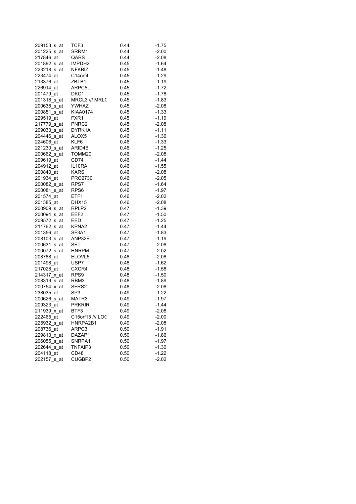| 209153_s_at      | TCF3               | 0.44 | $-1.75$ |
|------------------|--------------------|------|---------|
| 201225_s_at      | SRRM1              | 0.44 | $-2.00$ |
| 217846_at        | QARS               | 0.44 | $-2.08$ |
| 201892 s at      | IMPDH2             | 0.45 | $-1.64$ |
| 223218 s_at      | NFKBIZ             | 0.45 | $-1.48$ |
| 223474_at        | C14orf4            | 0.45 | $-1.29$ |
| 213376 at        | ZBTB1              | 0.45 | $-1.19$ |
| 226914_at        | ARPC5L             | 0.45 | $-1.72$ |
| 201479_at        | DKC1               |      |         |
|                  | MRCL3 /// MRL(     | 0.45 | $-1.78$ |
| 201318_s_at      |                    | 0.45 | $-1.83$ |
| 200638_s_at      | YWHAZ              | 0.45 | $-2.08$ |
| 200851_s_at      | <b>KIAA0174</b>    | 0.45 | $-1.33$ |
| 229519_at        | FXR1               | 0.45 | $-1.19$ |
| 217779 s at      | PNRC2              | 0.45 | $-2.08$ |
| 209033_s_at      | DYRK1A             | 0.45 | $-1.11$ |
| 204446_s_at      | ALOX5              | 0.46 | $-1.36$ |
| 224606_at        | KLF6               | 0.46 | $-1.33$ |
| 221230 s at      | ARID4B             | 0.46 | $-1.25$ |
| 200662_s_at      | TOMM20             | 0.46 | $-2.08$ |
| 209619_at        | CD74               | 0.46 | $-1.44$ |
| 204912 at        | IL10RA             | 0.46 | $-1.55$ |
| 200840_at        | KARS               | 0.46 | $-2.08$ |
| 201934_at        | PRO2730            | 0.46 | $-2.05$ |
| 200082_s_at RPS7 |                    | 0.46 | $-1.64$ |
| 200081_s_at      | RPS6               | 0.46 | $-1.97$ |
| 201574 at        | ETF1               | 0.46 | $-2.02$ |
| 201385 at        | DHX15              | 0.46 | $-2.08$ |
| 200909_s_at      | RPLP2              | 0.47 | $-1.39$ |
| 200094_s_at      | EEF2               | 0.47 | $-1.50$ |
| 209572_s_at      | EED                | 0.47 | $-1.25$ |
| 211762_s_at      | KPNA2              | 0.47 | $-1.44$ |
| 201356 at        | SF3A1              | 0.47 | $-1.83$ |
| 208103_s_at      | ANP32E             | 0.47 | $-1.19$ |
| 200631_s_at      | SET                | 0.47 | $-2.08$ |
|                  |                    |      |         |
| 200072_s_at      | HNRPM              | 0.47 | $-2.02$ |
| 208788_at        | ELOVL <sub>5</sub> | 0.48 | $-2.08$ |
| 201498_at        | USP7               | 0.48 | $-1.62$ |
| 217028_at        | CXCR4              | 0.48 | $-1.58$ |
| 214317 x at      | RPS <sub>9</sub>   | 0.48 | $-1.50$ |
| 208319 s at      | RBM3               | 0.48 | $-1.89$ |
| 200754_x_at      | SFRS2              | 0.48 | $-2.08$ |
| 238035 at        | SP3                | 0.49 | $-1.22$ |
| 200626_s_at      | MATR3              | 0.49 | $-1.97$ |
| 209323_at        | <b>PRKRIR</b>      | 0.49 | $-1.44$ |
| 211939_x_at      | BTF3               | 0.49 | $-2.08$ |
| 222465 at        | C15orf15 /// LOC   | 0.49 | -2.00   |
| 225932_s_at      | HNRPA2B1           | 0.49 | $-2.08$ |
| 208736 at        | ARPC3              | 0.50 | $-1.91$ |
| 229813_x_at      | DAZAP1             | 0.50 | -1.86   |
| 206055 s at      | SNRPA1             | 0.50 | $-1.97$ |
| 202644 s at      | TNFAIP3            | 0.50 | $-1.30$ |
| 204118 at        | CD48               | 0.50 | $-1.22$ |
| 202157_s_at      | CUGBP2             | 0.50 | $-2.02$ |
|                  |                    |      |         |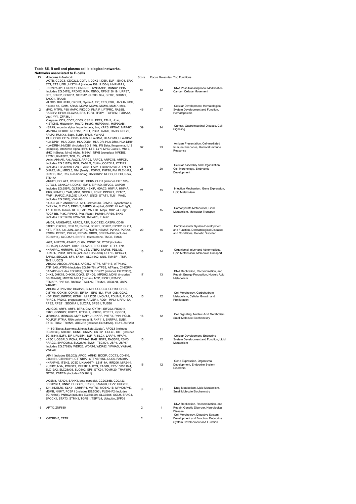#### **Table S5. B cell and plasma cell biological networks. Networks associated to B cells**

| ID             | Molecules in Network                                                                                                                                                                                                                                                                                                                                                     | Score                   | Focus Molecules Top Functions |                                                                                                                |
|----------------|--------------------------------------------------------------------------------------------------------------------------------------------------------------------------------------------------------------------------------------------------------------------------------------------------------------------------------------------------------------------------|-------------------------|-------------------------------|----------------------------------------------------------------------------------------------------------------|
| 1              | ACTB, CCDC6, CDC2L2, COTL1, DDX21, DEK, ELF1, ENO1, ERK,<br>ETS, ETS1, FBL, HIST4H4 (includes EG:121504), HNRNPA1,<br>HNRNPA2B1, HNRNPC, HNRNPU, IVNS1ABP, MKNK2, PPIA<br>(includes EG:5478), PRDM2, RAN, RBMX, RP6-213H19.1, RPS7,<br>SET, SFRS2, SFRS11, SFRS12, SH2B3, Sos, SP100, SRRM1,                                                                             | 61                      | 32                            | RNA Post-Transcriptional Modification,<br>Cancer, Cellular Movement                                            |
| 2              | TACC1, TRA2B<br>ALOX5, BHLHE40, CXCR4, Cyclin A, E2f, EED, FSH, HADHA, hCG,<br>Histone h3, IGHM, KRAS, MCM2, MCM5, MCM6, MCM7, Mek,<br>MMD, MTPN, P38 MAPK, PIK3CD, PMAIP1, PTPRC, RAB8B,<br>RASSF2, RPS9, SLC2A3, SP3, TCF3, TFDP1, TGFBR2, TUBA1A,<br>Vegf, YY1, ZFP36L1                                                                                               | 46                      | 27                            | Cellular Development, Hematological<br>System Development and Function,<br>Hematopoiesis                       |
| 3              | Caspase, CD3, CD52, CD55, CSE1L, EEF2, FTH1, Hdac,<br>HISTONE, Histone h4, Hsp70, Hsp90, HSP90AA1, HSP90AB1,<br>HSPA9, Importin alpha, Importin beta, Jnk, KARS, KPNA2, MAP4K1,<br>MAP4K4, NFKBIE, NUP153, PFN1, PGK1, QARS, RARS, RPL22,<br>RPLP2, RUNX3, Sapk, SLBP, TPM3, YWHAZ                                                                                       | 39                      | 24                            | Cancer, Gastrointestinal Disease, Cell<br>Signaling                                                            |
| $\overline{4}$ | BLK, CD69, CD74, CD83, GAS5, HLA-DMA, HLA-DMB, HLA-DPA1,<br>HLA-DPB1, HLA-DQA1, HLA-DQB1, HLA-DR, HLA-DRA, HLA-DRB1,<br>HLA-DRB4, HMGB1 (includes EG:3146), IFN Beta, Ifn gamma, IL12<br>(complex), Interferon alpha, IRF8, LTB, LYN, MHC Class II, Mhc ii,<br>MHC II-β, Mhc2 Alpha, MS4A1, NFkB (complex), NFKBIZ,<br>RFTN1, RNASE2, TCR, TIr, WTAP                     | 37                      | 23                            | Antigen Presentation, Cell-mediated<br>Immune Response, Humoral Immune<br>Response                             |
| 5              | Actin, AHNAK, Akt, Arp2/3, ARPC2, ARPC3, ARPC1B, ARPC5L<br>(includes EG:81873), BCR, CAMLG, Cofilin, CORO1A, CYFIP2<br>(includes EG:26999), EZR, F Actin, Fcer1, FCGR1A/2A/3A, FNBP1,<br>GNA12, MIc, MRCL3, Nfat (family), PDPK1, PHF20, PId, PLEKHA2,<br>PRKCB, Rac, Ras, Ras homolog, RASGRP2, RHOG, RHOH, Rock,                                                       | 26                      | 20                            | Cellular Assembly and Organization,<br>Cell Morphology, Embryonic<br>Development                               |
| 6              | STK17A<br>ARRB1, BCLAF1, C16ORF80, CDK5, CHD1 (includes EG:1105),<br>CLTCL1, CSNK2A1, DDX47, E2F4, EIF1AD, EIF2C2, GAPDH<br>(includes EG:2597), GLTSCR2, HBXIP, HDAC3, HNF1A, HNF4A,<br>IER5, KPNB1, LYAR, MIB1, NCOR1, PCNP, PPP4R1, PPTC7,<br>PWP1, RAP2C, RSL24D1, RXRA, SNX5, STAT1, TLN1, WASL                                                                      | 21                      | 15                            | Infection Mechanism, Gene Expression,<br>Lipid Metabolism                                                      |
| 7              | (includes EG:8976), YWHAG<br>14-3-3, ALP, ANKRD13A, Ap1, Calmodulin, CaMKII, Cytochrome c,<br>DYRK1A, ELOVL5, ERK1/2, FABP5, G alphai, GNG2, HLA-E, IgG,<br>IL1, IL10RA, Insulin, KLF6, LAPTM5, LDL, Mapk, MIR124, Pdgf,<br>PDGF BB, PI3K, PIP5K3, Pka, Pkc(s), PSMB4, RPS6, SNX9<br>(includes EG:51429), SWAP70, TNFAIP3, Tubulin                                       | 21                      | 15                            | Carbohydrate Metabolism, Lipid<br>Metabolism, Molecular Transport                                              |
| 8              | AMD1, ARHGAP25, ATAD2, ATP, BLOC1S2, CASP9, CD48,<br>CTBP1, CXCR5, FBXL10, FNBP4, FOXP1, FOXP2, FXYD2, GLO1,<br>HTT, IFT57, IL6, JUN, Jun-ATF2, NGFR, NSMAF, P2RX1, P2RX2,<br>P2RX4, P2RX5, P2RX6, PRDM4, SBDS, SERPINA3K (includes<br>EG:20714), SLCO1A1, SNRPB, testosterone, TMC6, TMC8                                                                               | 20                      | 15                            | Cardiovascular System Development<br>and Function, Dermatological Diseases<br>and Conditions, Genetic Disorder |
| 9              | AGT, ANP32B, ASAH2, CLGN, CSNK1G2, CTSZ (includes<br>EG:1522), DAZAP1, DKC1, ELAVL1, EPO, ESR1, ETF1, FN1,<br>HNRNPA0, HNRNPM, LCP1, LSS, LTBP2, NUP88, PDLIM2,<br>PRKRIR, PUS1, RPL36 (includes EG:25873), RPS13, RPS4Y1,<br>SAPS2, SEC22B, SF1, SF3A1, SLC14A2, SNN, TM4SF1, TNF,<br>TNS1, UGCG                                                                        | 18                      | 14                            | Organismal Injury and Abnormalities,<br>Lipid Metabolism, Molecular Transport                                  |
| 10             | ABCA2, ABCC6, AFG3L1, AFG3L2, ATP8, ATP11B, ATP13A2,<br>ATP13A5, ATP5H (includes EG:10476), ATP5S, ATPase, C14ORF4,<br>DAZAP2 (includes EG:9802), DDX39, DDX3Y (includes EG:26900),<br>DHX8, DHX15, DHX16, DQX1, EFHD2, IMPDH2, MDN1 (includes<br>EG:362498), MIR126, MIR1 (human), NTP, PICK1, PSMD6,<br>PTMAP7, RNF138, RSRC2, TAGLN2, TRIM22, UBQLN4, USP7,<br>WRNIP1 | 17                      | 13                            | DNA Replication, Recombination, and<br>Repair, Energy Production, Nucleic Acid<br>Metabolism                   |
| 11             | ABCB4, ATP6V1B2, BCAP29, BLMH, CCDC93, CDH13, CHD2,<br>CMTM6, COX15, COX4I1, EIF4A1, EPS15L1, FAM100B, GGA2,<br>HGF, IDH2, INPP5E, KCNK1, MIR125B1, NOVA1, PDLIM1, PLOD1,<br>PNRC1, PRDX3, progesterone, RAVER1, ROD1, RPL11, RPL13A,<br>RPS2, RPS21, SEC61A1, SLC2A4, SPSB1, TUBB6                                                                                      | 15                      | 12                            | Cell Morphology, Carbohydrate<br>Metabolism, Cellular Growth and<br>Proliferation                              |
| 12             | AMIGO3, ARF5, ARF6, BTF3, Ck2, CYTH1, EIF2S2, FBXO11,<br>FXR1, GGNBP2, GSPT1, GTF2H1, HOXB6, IPCEF1, IQSEC1,<br>MIR199A1, MIRN325, MVP, NAP1L1, NKRF, PHTF2, PNN, POLB,<br>POLR2F, PTMA, RNA polymerase II, RNF111, SNRPA1, SUB1,<br>SYT4, TBX2, TRIM23, UBE2R2 (includes EG:54926), YBX1, ZNF238                                                                        | 15                      | 12                            | Cell Signaling, Nucleic Acid Metabolism,<br>Small Molecule Biochemistry                                        |
| 13             | 14-3-3(β,γ,θ,η,ζ), APOL3 (includes<br>EG:80833), ARID4B, CCNO, CKAP2, CRTC1, CUL4B, DUT (includes<br>EG:1854), E2F1, EIF1, FUSIP1, IGF1R, KLC4, LARP1, MFAP1,<br>NR3C1, OSBPL3, PCNA, PTP4A2, RAB11FIP1, RASSF8, RBM3,<br>RRAGC, SHROOM2, SLC25A6, SMU1, TBC1D1, USP1, USP37<br>(includes EG:57695), WDR26, WDR76, WDR82, YWHAD, YWHAG,<br>YWHAH                         | 15                      | 12                            | Cellular Development, Endocrine<br>System Development and Function, Lipid<br>Metabolism                        |
| 14             | AIM1 (includes EG:202), APOD, ARIH2, BCCIP, CDC73, CDH10,<br>CTNNB1, CTNNBIP1, CTTNBP2, CTTNBP2NL, DLG5, FAM40A,<br>HNRNPH3, ITSN2, JOSD1, KIAA0174, LSM14A, MIR206, MIR24-1,<br>NUFIP2, NXN, POU3F2, PPP2R1A, PTN, RAB8B, RP5-1000E10.4,<br>SLC12A2, SLC25A36, SLC6A2, SP8, STK24, TOMM20, TRAF3IP3,<br>ZBTB1, ZBTB24 (includes EG:9841)                                | 15                      | 12                            | Gene Expression, Organismal<br>Development, Endocrine System<br><b>Disorders</b>                               |
| 15             | ACSM3, ATAD4, BANK1, beta-estradiol, CCDC85B, CDC123,<br>CDC42SE1, CNN2, CUGBP2, ERBB2, FAM76B, FEZ2, HSF2BP,<br>IDI1, KDELR3, KLK11, LRRFIP1, MATR3, MOBKL1B, MPHOSPH9,<br>MSMB, NNMT, PCBP1 (includes EG:5093), PLEKHF2 (includes<br>EG:79666), PNRC2 (includes EG:55629), SLC35A5, SOLH, SPAG4,<br>SPOCK1, STAT3, STMN3, TGFB1, TSPYL4, Ubiquitin, ZFP36              | 14                      | 11                            | Drug Metabolism, Lipid Metabolism,<br>Small Molecule Biochemistry                                              |
| 16             | APTX, ZNF639                                                                                                                                                                                                                                                                                                                                                             | 2                       | 1                             | DNA Replication, Recombination, and<br>Repair, Genetic Disorder, Neurological<br><b>Disease</b>                |
| 17             | C6ORF48, CFTR                                                                                                                                                                                                                                                                                                                                                            | $\overline{\mathbf{c}}$ | 1                             | Cell Morphology, Digestive System<br>Development and Function, Endocrine<br>System Development and Function    |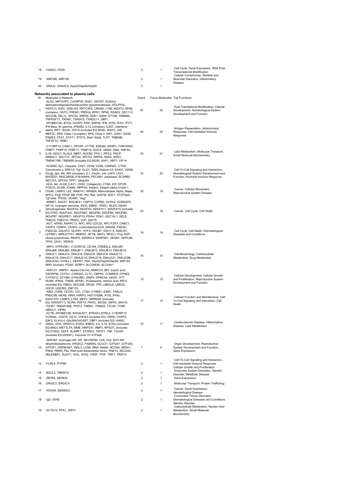| 18             | FANCC, PION                                                                                                                                                                                                                                                                                                                                                                                       | 2              | 1                                   | Cell Cycle, Gene Expression, RNA Post-<br><b>Transcriptional Modification</b>                                        |
|----------------|---------------------------------------------------------------------------------------------------------------------------------------------------------------------------------------------------------------------------------------------------------------------------------------------------------------------------------------------------------------------------------------------------|----------------|-------------------------------------|----------------------------------------------------------------------------------------------------------------------|
| 19             | ANP32E, MIR195                                                                                                                                                                                                                                                                                                                                                                                    | 2              | 1                                   | Cellular Compromise, Skeletal and<br>Muscular Disorders, Inflammatory                                                |
| 20             | DNAJC, DNAJC9, Hsp22/Hsp40/Hsp90                                                                                                                                                                                                                                                                                                                                                                  | 2              | 1                                   | <b>Disease</b>                                                                                                       |
|                | Networks associated to plasma cells                                                                                                                                                                                                                                                                                                                                                               |                |                                     |                                                                                                                      |
| ID<br>1        | Molecules in Network<br>ALG2, ARFGAP3, C2ORF30, DAD1, DDOST, Dolichyl-<br>diphosphooligosaccharide-protein glycotransferase, GOLPH3L,<br>HSPA13, IGKC, KDELR2, KRTCAP2, LMAN2, LY96, MGAT2, NFKB<br>(complex), OSTC, PRDM1, PRDX4, RPN1, RPN2, RSAD2, SEC11C,<br>SEC23B, SEL1L, SPCS2, SRP54, SSR1, SSR4, STT3B, TMBIM4,<br>TNFRSF17, TRAM1, TXNDC5, TXNDC11, XBP1                                | Score<br>67    | Focus Molecules Top Functions<br>33 | Post-Translational Modification, Cellular<br>Development, Hematological System<br>Development and Function           |
| 2              | APOBEC3G, BTG2, DUSP5, ERK, ERP44, IFI6, IFI35, IFIH1, IFIT1,<br>IFN Beta, Ifn gamma, IFNAR2, IL12 (complex), IL6ST, Interferon<br>alpha, IRF7, ISG20, ISG15 (includes EG:9636), ISGF3, JAK,<br>MEF2C, MHC Class I (complex), MHC Class II, MX1, OAS1, OAS2,<br>PSME2, STAT, STAT1, STAT2, Stat1-Stat2, TLR7, TMBIM6,<br>TNFSF10, TRIB1                                                           | 40             | 24                                  | Antigen Presentation, Antimicrobial<br>Response, Cell-mediated Immune<br>Response                                    |
| 3              | C11ORF10, CABC1, CRTAP, CYTH2, EDEM3, ERAP1, FAM160A2,<br>FKBP7, FKBP10, FKBP11, FKBP14, GGCX, GNG5, GNS, HNF4A,<br>IL1B, ISOC1, KLHL6, NBR1, NUCB2, PPIL1, PPIL2, PRCP,<br>RABAC1, SEC11C, SPCS2, SPCS3, SRP54, SSR2, SSR3,<br>TMEM176B, TMEM59 (includes EG:9528), UAP1, XBP1, YIF1A                                                                                                            | 35             | 21                                  | Lipid Metabolism, Molecular Transport,<br>Small Molecule Biochemistry                                                |
| 4              | ACADM, Ap1, Caspase, CD27, CD38, CD59, CDKN2C, CTSS,<br>Cytochrome c, ERK1/2, Fgf, GLG1, GRN, Histone h3, IGHG1, IGHM,<br>IGL@, Igm, Ikb, IKK (complex), IL1, Insulin, Jnk, LAP3, LAX1,<br>MAGED1, MGC29506, P38 MAPK, PECAM1, peptidase, SCARB2,<br>SEC31A, SPCS3, TPP1, Ubiquitin                                                                                                               | 33             | 20                                  | Cell-To-Cell Signaling and Interaction,<br>Hematological System Development and<br>Function, Humoral Immune Response |
| 5              | ADA, Akt, ALG5, CAV1, CD63, Collagen(s), CYBA, E2f, EPOR,<br>FOXO3, GUSB, ICAM2, INPP4A, Integrin, Integrin alpha 4 beta 1,<br>ITGA6, LAMP2, LDL, MAN1A1, MANEA, Mannosidase Alpha, Mapk,<br>NPC2, Pdgf, PDGF BB, PI3K, Pld, Ras, SAR1B, SDC1, STAT5a/b,<br>Tgf beta, TPD52, VCAM1, Vegf                                                                                                          | 30             | 19                                  | Cancer, Cellular Movement,<br>Reproductive System Disease                                                            |
| 6              | ARMET, BACE1, BHLHE41, CNPY2, COPB2, GLRX2, GORASP2,<br>HIF1A, hydrogen peroxide, IDH2, IKBKE, ITM2C, MLEC, NADH<br>dehydrogenase, NDUFA2, NDUFA3, NDUFA11, NDUFA10 (includes<br>EG:4705), NDUFA4L, NDUFAB1, NDUFB2, NDUFB4, NDUFB6,<br>NDUFB7, NDUFB11, NDUFV3, PDIA4, PDK1, SEC14L1, SELS,<br>TMED9, TMED10, TRAF6, VCP, ZAP70                                                                  | 23             | 16                                  | Cancer, Cell Cycle, Cell Death                                                                                       |
| $\overline{7}$ | AGT, AIFM3, ANAPC13, APC, APC-CDC20, APC-FZR1, CABC1,<br>CASP3, CEBPA, CKAP2, Corticosteroid-GCR, EBAG9, FAM3C,<br>FNDC3A, GALNT2, GLIPR1, H1FX, HDLBP, IGKV1-5, KDELR1,<br>LETMD1, MIRLET7A1, MMRN1, NFYB, NMT2, NR3C1, Poly ADP-<br>ribose polymerase, REEP5, SERINC3, SERPINI1, SESN1, SPPL2B,<br>TP53, USO1, WDR33                                                                            | 19             | 14                                  | Cell Cycle, Cell Death, Dermatological<br>Diseases and Conditions                                                    |
| 8              | ARF4, ATP6V0E1, C12ORF23, CD164, CREB3L2, DNAJB7,<br>DNAJB8, DNAJB9, DNAJB11, DNAJB12, DNAJB13, DNAJB14,<br>DNAJC1, DNAJC4, DNAJC6, DNAJC8, DNAJC9, DNAJC15,<br>DNAJC16, DNAJC17, DNAJC18, DNAJC19, DNAJC21, DNAJC5B,<br>DNAJC5G, DYNLL1, FBXW7, FSH, Hsp22/Hsp40/Hsp90, MIR124,<br>MIR1 (human), PDXK, SERP1, SLC25A30, SLC44A1                                                                  | 19             | 13                                  | Cell Morphology, Carbohydrate<br>Metabolism, Drug Metabolism                                                         |
| 9              | AKR1A1, AMPD1, Ap2a2-Cltc-Hd, ARMCX3, BPI, butyric acid,<br>C6ORF66, CCPG1, CDKN2A, CLTC, CMPK2, COMMD3, CPNE5,<br>CYP2D12, DTYMK, DYNLRB1, EMP3, GPRC5A, HDGF, HTT,<br>HUNK, IFNA2, ITM2B, NFKB1, Proteasome, retinoic acid, RPL5<br>(includes EG:19983), SEC22B, SRGN, TPR, UBE2L6, UBE2S,<br>UQCR, UQCRQ, ZNF133                                                                               | 19             | 13                                  | Cellular Development, Cellular Growth<br>and Proliferation, Reproductive System<br>Development and Function          |
| 10             | AIM2, CCR6, CECR1, CIC, CTSH, CYB561, ESM1, FASLG,<br>FNDC3B, HEXB, HIRA, HIRIP3, HIST1H2BK, IFI30, IFNG,<br>KIAA1370, LAMP3, LY6A, MEFV, MIRN292 (includes<br>EG:100049711), NCAN, PHF15, PNOC, SEC62, SMTN, SNX18,<br>TGFB1, TMEM184B, TPST2, TREM1, TRIM22, TTC28, TYMP,<br>UBE2J1, VIPR2                                                                                                      | 17             | 12                                  | Cellular Function and Maintenance, Cell-<br>To-Cell Signaling and Interaction, Cell<br>Death                         |
| 11             | ACTB, APOBEC3B, B4GALNT1, BTN3A3, BTNL2, C19ORF10,<br>CCRN4L, CD276, CD1C, CHI3L3 (includes EG:12655), CHST2,<br>EAF2, ELAVL4, GALNAC4S-6ST, GBP1 (includes EG:14468),<br>GM2A, HCK, HRSP12, IFI203, IKBKG, IL4, IL19, KYNU (includes<br>EG:8942), METTL7A, MME, MRPS31, RBP3, RPS27L (includes<br>EG:51065), SDF4, SLAMF7, STARD3, THOP1, TNF, TXLNA<br>(includes EG:200081), Vacuolar H+ ATPase | 15             | 11                                  | Cardiovascular Disease, Inflammatory<br>Disease, Lipid Metabolism                                                    |
| 12             | AKR1B7, Androgen-AR, AR, AR-HSP90, C4A, Ck2, DHT-AR,<br>dihydrotestosterone, ERGIC2, FAM69A, GLCCI1, GTF2A1, GTF2A2,<br>GTF2F1, HSP90AB1, INSL3, LCN5, MAK, NANS, NCOA4, NR5A1,<br>PAK6, PBSN, Pka, RNA pol2-transcription factor, RNF14, SEC24A,<br>SELENBP1, SUGT1, SVIL, SVS2, TARP, TFIIF, TMF1, TRIP13                                                                                       | 7              | 6                                   | Organ Development, Reproductive<br>System Development and Function,<br>Gene Expression                               |
| 13             | FCRL5, PTPN6                                                                                                                                                                                                                                                                                                                                                                                      | 2              | 1                                   | Cell-To-Cell Signaling and Interaction,<br>Cell-mediated Immune Response,<br>Cellular Growth and Proliferation       |
| 14             | BSCL2, TMEM19                                                                                                                                                                                                                                                                                                                                                                                     | $\overline{2}$ | 1                                   | Endocrine System Disorders, Genetic<br>Disorder, Metabolic Disease                                                   |
| 15             | ZBTB4, ZBTB38                                                                                                                                                                                                                                                                                                                                                                                     | 2              | 1                                   | Gene Expression                                                                                                      |
| 16             | ERGIC1, ERGIC3                                                                                                                                                                                                                                                                                                                                                                                    | $\overline{2}$ | 1                                   | Molecular Transport, Protein Trafficking                                                                             |
| 17             | HOXA9, SERINC2                                                                                                                                                                                                                                                                                                                                                                                    | $\overline{2}$ | 1                                   | Cancer, Gene Expression,<br><b>Hematological Disease</b>                                                             |
| 18             | IgD, IGHD                                                                                                                                                                                                                                                                                                                                                                                         | 2              | 1                                   | Connective Tissue Disorders,<br>Dermatological Diseases and Conditions,<br>Genetic Disorder                          |
| 19             | KCTD15, PPA1, WIPI1                                                                                                                                                                                                                                                                                                                                                                               | 2              | 1                                   | Carbohydrate Metabolism, Nucleic Acid<br>Metabolism, Small Molecule<br>Biochemistry                                  |